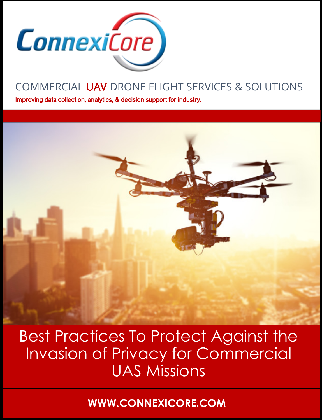

# COMMERCIAL UAV DRONE FLIGHT SERVICES & SOLUTIONS

Improving data collection, analytics, & decision support for industry.

Best Practices To Protect Against the Invasion of Privacy for Commercial UAS Missions

**WWW.CONNEXICORE.COM**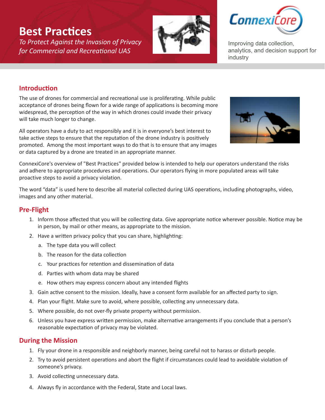## **Best Practices**

*To Protect Against the Invasion of Privacy for Commercial and Recreational UAS*





Improving data collection, analytics, and decision support for industry

### **Introduction**

The use of drones for commercial and recreational use is proliferating. While public acceptance of drones being flown for a wide range of applications is becoming more widespread, the perception of the way in which drones could invade their privacy will take much longer to change.

All operators have a duty to act responsibly and it is in everyone's best interest to take active steps to ensure that the reputation of the drone industry is positively promoted. Among the most important ways to do that is to ensure that any images or data captured by a drone are treated in an appropriate manner.



ConnexiCore's overview of "Best Practices" provided below is intended to help our operators understand the risks and adhere to appropriate procedures and operations. Our operators flying in more populated areas will take proactive steps to avoid a privacy violation.

The word "data" is used here to describe all material collected during UAS operations, including photographs, video, images and any other material.

#### **Pre-Flight**

- 1. Inform those affected that you will be collecting data. Give appropriate notice wherever possible. Notice may be in person, by mail or other means, as appropriate to the mission.
- 2. Have a written privacy policy that you can share, highlighting:
	- a. The type data you will collect
	- b. The reason for the data collection
	- c. Your practices for retention and dissemination of data
	- d. Parties with whom data may be shared
	- e. How others may express concern about any intended flights
- 3. Gain active consent to the mission. Ideally, have a consent form available for an affected party to sign.
- 4. Plan your flight. Make sure to avoid, where possible, collecting any unnecessary data.
- 5. Where possible, do not over-fly private property without permission.
- 6. Unless you have express written permission, make alternative arrangements if you conclude that a person's reasonable expectation of privacy may be violated.

#### **During the Mission**

- 1. Fly your drone in a responsible and neighborly manner, being careful not to harass or disturb people.
- 2. Try to avoid persistent operations and abort the flight if circumstances could lead to avoidable violation of someone's privacy.
- 3. Avoid collecting unnecessary data.
- 4. Always fly in accordance with the Federal, State and Local laws.